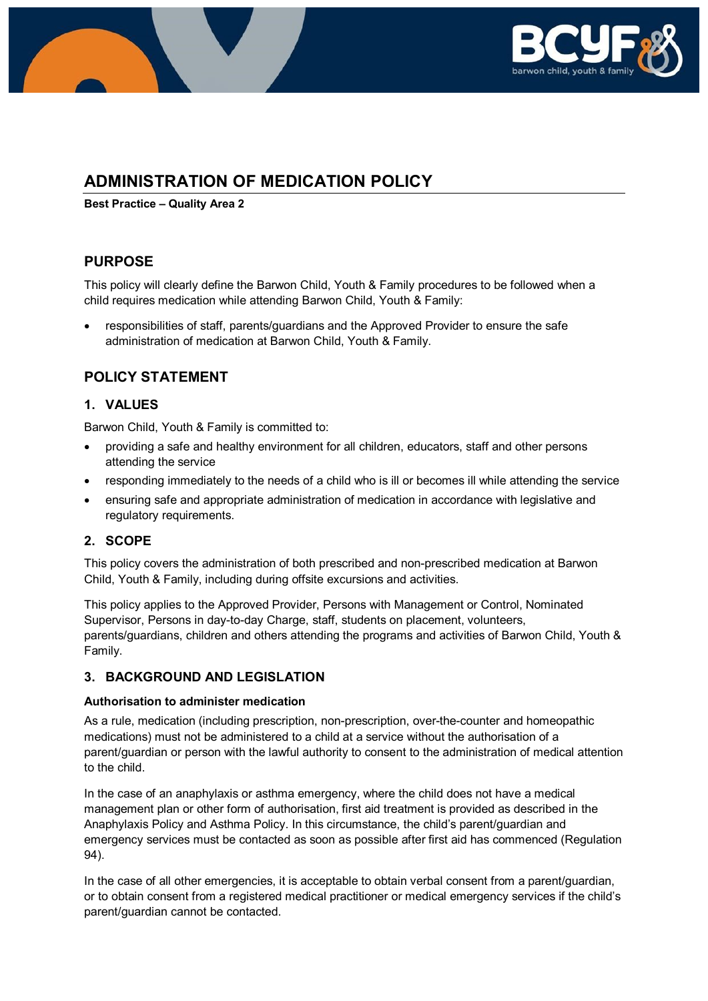

# **ADMINISTRATION OF MEDICATION POLICY**

**Best Practice – Quality Area 2**

## **PURPOSE**

This policy will clearly define the Barwon Child, Youth & Family procedures to be followed when a child requires medication while attending Barwon Child, Youth & Family:

• responsibilities of staff, parents/guardians and the Approved Provider to ensure the safe administration of medication at Barwon Child, Youth & Family.

## **POLICY STATEMENT**

### **1. VALUES**

Barwon Child, Youth & Family is committed to:

- providing a safe and healthy environment for all children, educators, staff and other persons attending the service
- responding immediately to the needs of a child who is ill or becomes ill while attending the service
- ensuring safe and appropriate administration of medication in accordance with legislative and regulatory requirements.

### **2. SCOPE**

This policy covers the administration of both prescribed and non-prescribed medication at Barwon Child, Youth & Family, including during offsite excursions and activities.

This policy applies to the Approved Provider, Persons with Management or Control, Nominated Supervisor, Persons in day-to-day Charge, staff, students on placement, volunteers, parents/guardians, children and others attending the programs and activities of Barwon Child, Youth & Family.

### **3. BACKGROUND AND LEGISLATION**

#### **Authorisation to administer medication**

As a rule, medication (including prescription, non-prescription, over-the-counter and homeopathic medications) must not be administered to a child at a service without the authorisation of a parent/guardian or person with the lawful authority to consent to the administration of medical attention to the child.

In the case of an anaphylaxis or asthma emergency, where the child does not have a medical management plan or other form of authorisation, first aid treatment is provided as described in the Anaphylaxis Policy and Asthma Policy. In this circumstance, the child's parent/guardian and emergency services must be contacted as soon as possible after first aid has commenced (Regulation 94).

In the case of all other emergencies, it is acceptable to obtain verbal consent from a parent/guardian, or to obtain consent from a registered medical practitioner or medical emergency services if the child's parent/guardian cannot be contacted.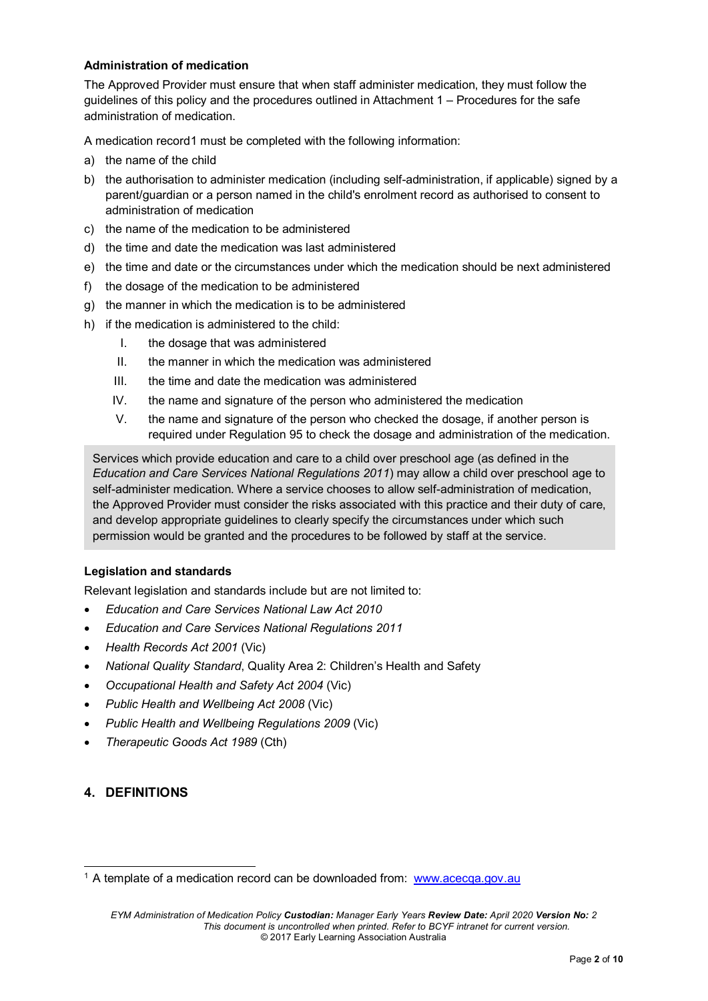#### **Administration of medication**

The Approved Provider must ensure that when staff administer medication, they must follow the guidelines of this policy and the procedures outlined in Attachment 1 – Procedures for the safe administration of medication.

A medication record[1](#page-1-0) must be completed with the following information:

- a) the name of the child
- b) the authorisation to administer medication (including self-administration, if applicable) signed by a parent/guardian or a person named in the child's enrolment record as authorised to consent to administration of medication
- c) the name of the medication to be administered
- d) the time and date the medication was last administered
- e) the time and date or the circumstances under which the medication should be next administered
- f) the dosage of the medication to be administered
- g) the manner in which the medication is to be administered
- h) if the medication is administered to the child:
	- I. the dosage that was administered
	- II. the manner in which the medication was administered
	- III. the time and date the medication was administered
	- IV. the name and signature of the person who administered the medication
	- V. the name and signature of the person who checked the dosage, if another person is required under Regulation 95 to check the dosage and administration of the medication.

Services which provide education and care to a child over preschool age (as defined in the *Education and Care Services National Regulations 2011*) may allow a child over preschool age to self-administer medication. Where a service chooses to allow self-administration of medication, the Approved Provider must consider the risks associated with this practice and their duty of care, and develop appropriate guidelines to clearly specify the circumstances under which such permission would be granted and the procedures to be followed by staff at the service.

#### **Legislation and standards**

Relevant legislation and standards include but are not limited to:

- *Education and Care Services National Law Act 2010*
- *Education and Care Services National Regulations 2011*
- *Health Records Act 2001* (Vic)
- *National Quality Standard*, Quality Area 2: Children's Health and Safety
- *Occupational Health and Safety Act 2004* (Vic)
- *Public Health and Wellbeing Act 2008* (Vic)
- *Public Health and Wellbeing Regulations 2009* (Vic)
- *Therapeutic Goods Act 1989* (Cth)

### **4. DEFINITIONS**

<span id="page-1-0"></span><sup>&</sup>lt;sup>1</sup> A template of a medication record can be downloaded from: [www.acecqa.gov.au](http://www.acecqa.gov.au/)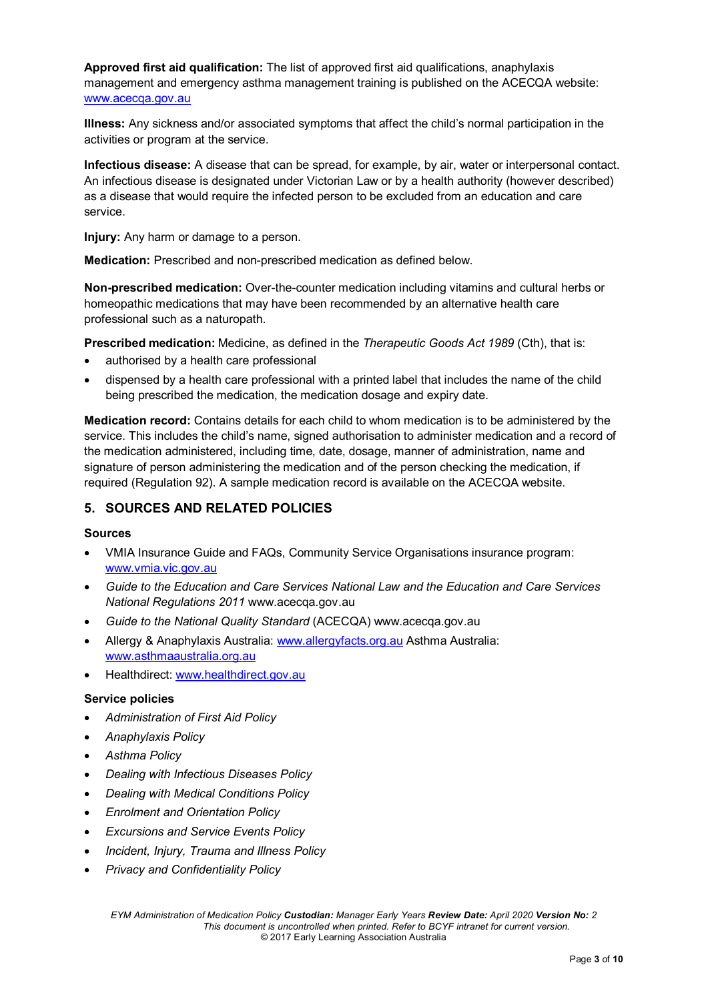**Approved first aid qualification:** The list of approved first aid qualifications, anaphylaxis management and emergency asthma management training is published on the ACECQA website: [www.acecqa.gov.au](http://www.acecqa.gov.au/)

**Illness:** Any sickness and/or associated symptoms that affect the child's normal participation in the activities or program at the service.

**Infectious disease:** A disease that can be spread, for example, by air, water or interpersonal contact. An infectious disease is designated under Victorian Law or by a health authority (however described) as a disease that would require the infected person to be excluded from an education and care service.

**Injury:** Any harm or damage to a person.

**Medication:** Prescribed and non-prescribed medication as defined below.

**Non-prescribed medication:** Over-the-counter medication including vitamins and cultural herbs or homeopathic medications that may have been recommended by an alternative health care professional such as a naturopath.

**Prescribed medication:** Medicine, as defined in the *Therapeutic Goods Act 1989* (Cth), that is:

- authorised by a health care professional
- dispensed by a health care professional with a printed label that includes the name of the child being prescribed the medication, the medication dosage and expiry date.

**Medication record:** Contains details for each child to whom medication is to be administered by the service. This includes the child's name, signed authorisation to administer medication and a record of the medication administered, including time, date, dosage, manner of administration, name and signature of person administering the medication and of the person checking the medication, if required (Regulation 92). A sample medication record is available on the ACECQA website.

### **5. SOURCES AND RELATED POLICIES**

#### **Sources**

- VMIA Insurance Guide and FAQs, Community Service Organisations insurance program: [www.vmia.vic.gov.au](http://www.vmia.vic.gov.au/)
- *Guide to the Education and Care Services National Law and the Education and Care Services National Regulations 2011* www.acecqa.gov.au
- *Guide to the National Quality Standard* (ACECQA) www.acecqa.gov.au
- Allergy & Anaphylaxis Australia: [www.allergyfacts.org.au](http://www.allergyfacts.org.au/) Asthma Australia: [www.asthmaaustralia.org.au](http://www.asthmaaustralia.org.au/)
- Healthdirect: [www.healthdirect.gov.au](http://www.healthdirect.gov.au/)

#### **Service policies**

- *Administration of First Aid Policy*
- *Anaphylaxis Policy*
- *Asthma Policy*
- *Dealing with Infectious Diseases Policy*
- *Dealing with Medical Conditions Policy*
- *Enrolment and Orientation Policy*
- *Excursions and Service Events Policy*
- *Incident, Injury, Trauma and Illness Policy*
- *Privacy and Confidentiality Policy*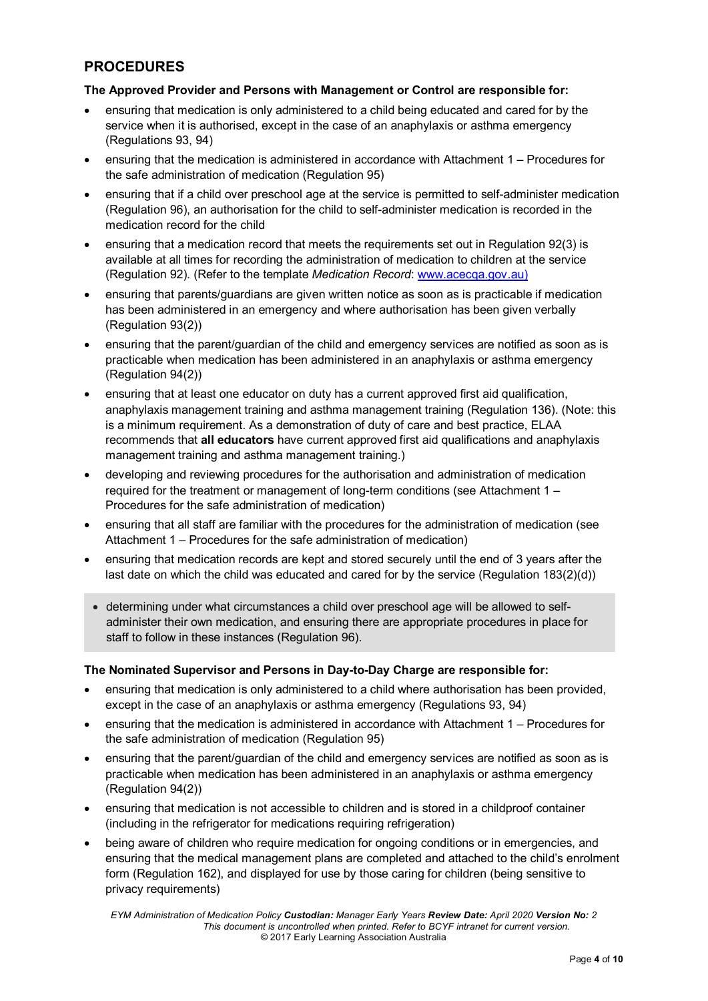## **PROCEDURES**

#### **The Approved Provider and Persons with Management or Control are responsible for:**

- ensuring that medication is only administered to a child being educated and cared for by the service when it is authorised, except in the case of an anaphylaxis or asthma emergency (Regulations 93, 94)
- ensuring that the medication is administered in accordance with Attachment 1 Procedures for the safe administration of medication (Regulation 95)
- ensuring that if a child over preschool age at the service is permitted to self-administer medication (Regulation 96), an authorisation for the child to self-administer medication is recorded in the medication record for the child
- ensuring that a medication record that meets the requirements set out in Regulation 92(3) is available at all times for recording the administration of medication to children at the service (Regulation 92). (Refer to the template *Medication Record*: [www.acecqa.gov.au\)](http://www.acecqa.gov.au/)
- ensuring that parents/guardians are given written notice as soon as is practicable if medication has been administered in an emergency and where authorisation has been given verbally (Regulation 93(2))
- ensuring that the parent/guardian of the child and emergency services are notified as soon as is practicable when medication has been administered in an anaphylaxis or asthma emergency (Regulation 94(2))
- ensuring that at least one educator on duty has a current approved first aid qualification, anaphylaxis management training and asthma management training (Regulation 136). (Note: this is a minimum requirement. As a demonstration of duty of care and best practice, ELAA recommends that **all educators** have current approved first aid qualifications and anaphylaxis management training and asthma management training.)
- developing and reviewing procedures for the authorisation and administration of medication required for the treatment or management of long-term conditions (see Attachment 1 – Procedures for the safe administration of medication)
- ensuring that all staff are familiar with the procedures for the administration of medication (see Attachment 1 – Procedures for the safe administration of medication)
- ensuring that medication records are kept and stored securely until the end of 3 years after the last date on which the child was educated and cared for by the service (Regulation 183(2)(d))
	- determining under what circumstances a child over preschool age will be allowed to selfadminister their own medication, and ensuring there are appropriate procedures in place for staff to follow in these instances (Regulation 96).

#### **The Nominated Supervisor and Persons in Day-to-Day Charge are responsible for:**

- ensuring that medication is only administered to a child where authorisation has been provided, except in the case of an anaphylaxis or asthma emergency (Regulations 93, 94)
- ensuring that the medication is administered in accordance with Attachment 1 Procedures for the safe administration of medication (Regulation 95)
- ensuring that the parent/guardian of the child and emergency services are notified as soon as is practicable when medication has been administered in an anaphylaxis or asthma emergency (Regulation 94(2))
- ensuring that medication is not accessible to children and is stored in a childproof container (including in the refrigerator for medications requiring refrigeration)
- being aware of children who require medication for ongoing conditions or in emergencies, and ensuring that the medical management plans are completed and attached to the child's enrolment form (Regulation 162), and displayed for use by those caring for children (being sensitive to privacy requirements)

*EYM Administration of Medication Policy Custodian: Manager Early Years Review Date: April 2020 Version No: 2 This document is uncontrolled when printed. Refer to BCYF intranet for current version.* © 2017 Early Learning Association Australia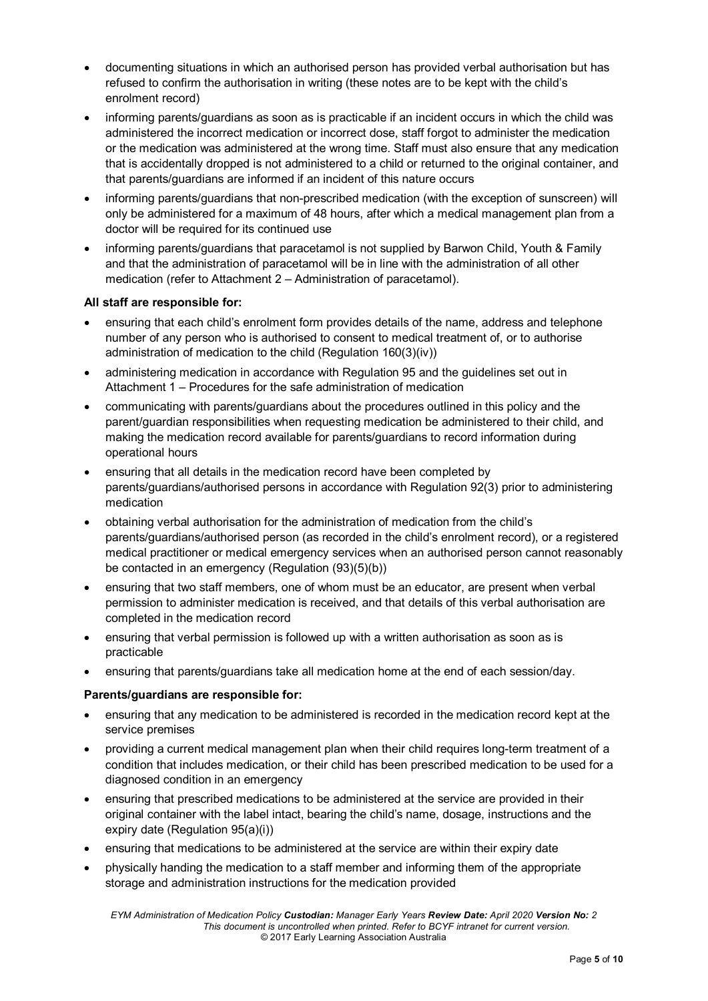- documenting situations in which an authorised person has provided verbal authorisation but has refused to confirm the authorisation in writing (these notes are to be kept with the child's enrolment record)
- informing parents/guardians as soon as is practicable if an incident occurs in which the child was administered the incorrect medication or incorrect dose, staff forgot to administer the medication or the medication was administered at the wrong time. Staff must also ensure that any medication that is accidentally dropped is not administered to a child or returned to the original container, and that parents/guardians are informed if an incident of this nature occurs
- informing parents/guardians that non-prescribed medication (with the exception of sunscreen) will only be administered for a maximum of 48 hours, after which a medical management plan from a doctor will be required for its continued use
- informing parents/guardians that paracetamol is not supplied by Barwon Child, Youth & Family and that the administration of paracetamol will be in line with the administration of all other medication (refer to Attachment 2 – Administration of paracetamol).

#### **All staff are responsible for:**

- ensuring that each child's enrolment form provides details of the name, address and telephone number of any person who is authorised to consent to medical treatment of, or to authorise administration of medication to the child (Regulation 160(3)(iv))
- administering medication in accordance with Regulation 95 and the guidelines set out in Attachment 1 – Procedures for the safe administration of medication
- communicating with parents/guardians about the procedures outlined in this policy and the parent/guardian responsibilities when requesting medication be administered to their child, and making the medication record available for parents/guardians to record information during operational hours
- ensuring that all details in the medication record have been completed by parents/guardians/authorised persons in accordance with Regulation 92(3) prior to administering medication
- obtaining verbal authorisation for the administration of medication from the child's parents/guardians/authorised person (as recorded in the child's enrolment record), or a registered medical practitioner or medical emergency services when an authorised person cannot reasonably be contacted in an emergency (Regulation (93)(5)(b))
- ensuring that two staff members, one of whom must be an educator, are present when verbal permission to administer medication is received, and that details of this verbal authorisation are completed in the medication record
- ensuring that verbal permission is followed up with a written authorisation as soon as is practicable
- ensuring that parents/guardians take all medication home at the end of each session/day.

#### **Parents/guardians are responsible for:**

- ensuring that any medication to be administered is recorded in the medication record kept at the service premises
- providing a current medical management plan when their child requires long-term treatment of a condition that includes medication, or their child has been prescribed medication to be used for a diagnosed condition in an emergency
- ensuring that prescribed medications to be administered at the service are provided in their original container with the label intact, bearing the child's name, dosage, instructions and the expiry date (Regulation 95(a)(i))
- ensuring that medications to be administered at the service are within their expiry date
- physically handing the medication to a staff member and informing them of the appropriate storage and administration instructions for the medication provided

*EYM Administration of Medication Policy Custodian: Manager Early Years Review Date: April 2020 Version No: 2 This document is uncontrolled when printed. Refer to BCYF intranet for current version.* © 2017 Early Learning Association Australia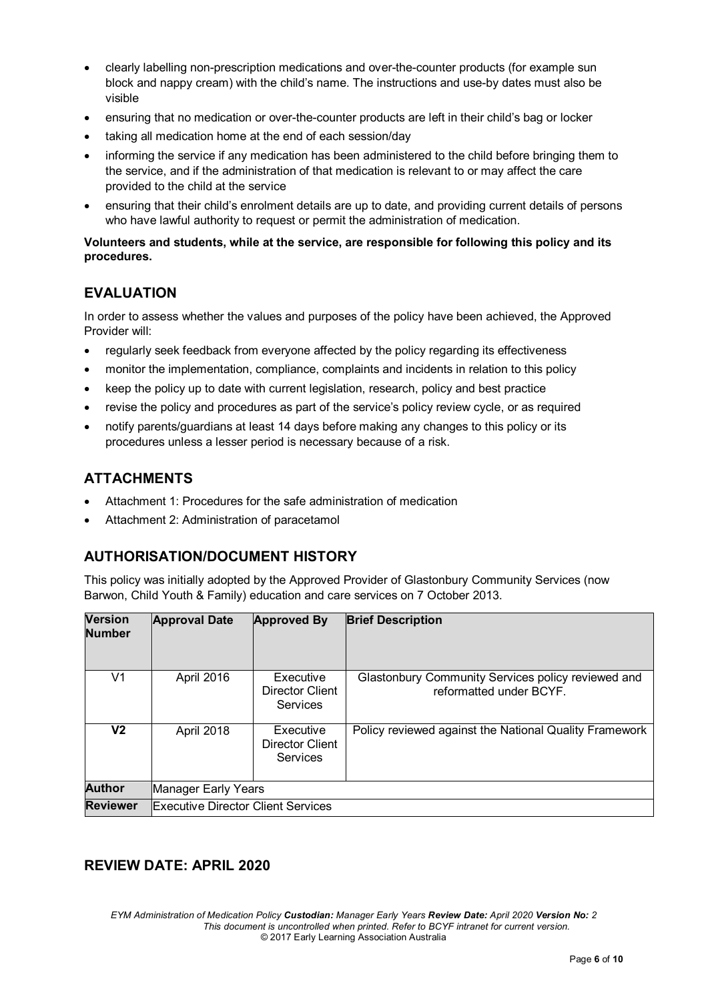- clearly labelling non-prescription medications and over-the-counter products (for example sun block and nappy cream) with the child's name. The instructions and use-by dates must also be visible
- ensuring that no medication or over-the-counter products are left in their child's bag or locker
- taking all medication home at the end of each session/day
- informing the service if any medication has been administered to the child before bringing them to the service, and if the administration of that medication is relevant to or may affect the care provided to the child at the service
- ensuring that their child's enrolment details are up to date, and providing current details of persons who have lawful authority to request or permit the administration of medication.

#### **Volunteers and students, while at the service, are responsible for following this policy and its procedures.**

## **EVALUATION**

In order to assess whether the values and purposes of the policy have been achieved, the Approved Provider will:

- regularly seek feedback from everyone affected by the policy regarding its effectiveness
- monitor the implementation, compliance, complaints and incidents in relation to this policy
- keep the policy up to date with current legislation, research, policy and best practice
- revise the policy and procedures as part of the service's policy review cycle, or as required
- notify parents/guardians at least 14 days before making any changes to this policy or its procedures unless a lesser period is necessary because of a risk.

### **ATTACHMENTS**

- Attachment 1: Procedures for the safe administration of medication
- Attachment 2: Administration of paracetamol

## **AUTHORISATION/DOCUMENT HISTORY**

This policy was initially adopted by the Approved Provider of Glastonbury Community Services (now Barwon, Child Youth & Family) education and care services on 7 October 2013.

| <b>Version</b><br><b>Number</b> | <b>Approval Date</b>                      | <b>Approved By</b>                       | <b>Brief Description</b>                                                      |
|---------------------------------|-------------------------------------------|------------------------------------------|-------------------------------------------------------------------------------|
| V1                              | April 2016                                | Executive<br>Director Client<br>Services | Glastonbury Community Services policy reviewed and<br>reformatted under BCYF. |
| V2                              | April 2018                                | Executive<br>Director Client<br>Services | Policy reviewed against the National Quality Framework                        |
| <b>Author</b>                   | Manager Early Years                       |                                          |                                                                               |
| <b>Reviewer</b>                 | <b>Executive Director Client Services</b> |                                          |                                                                               |

### **REVIEW DATE: APRIL 2020**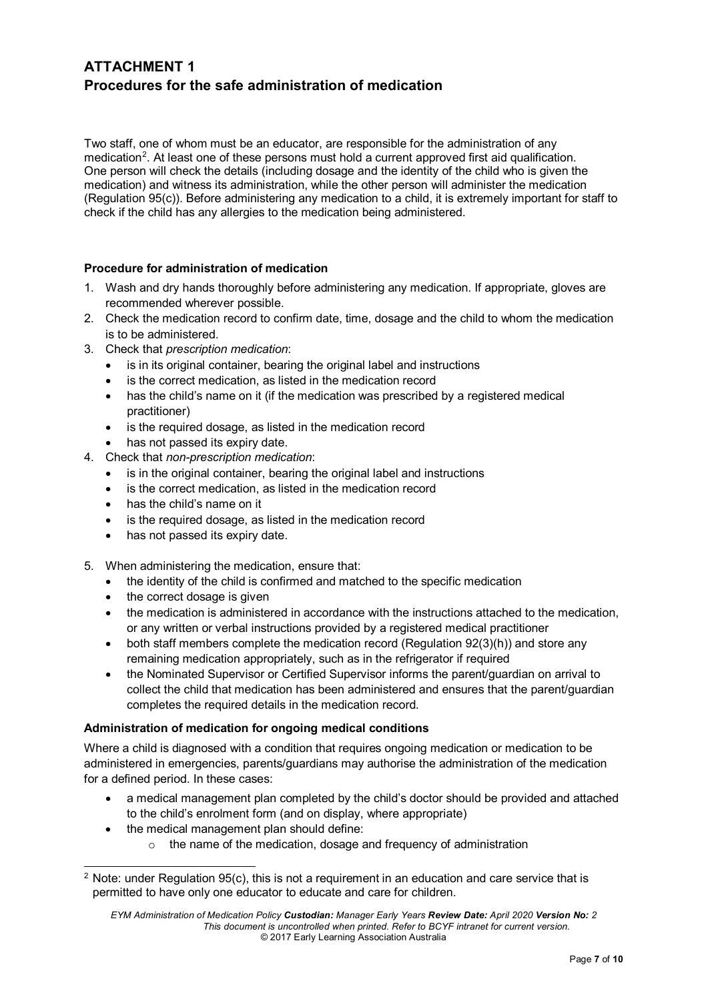## **ATTACHMENT 1 Procedures for the safe administration of medication**

Two staff, one of whom must be an educator, are responsible for the administration of any medication<sup>[2](#page-6-0)</sup>. At least one of these persons must hold a current approved first aid qualification. One person will check the details (including dosage and the identity of the child who is given the medication) and witness its administration, while the other person will administer the medication (Regulation 95(c)). Before administering any medication to a child, it is extremely important for staff to check if the child has any allergies to the medication being administered.

#### **Procedure for administration of medication**

- 1. Wash and dry hands thoroughly before administering any medication. If appropriate, gloves are recommended wherever possible.
- 2. Check the medication record to confirm date, time, dosage and the child to whom the medication is to be administered.
- 3. Check that *prescription medication*:
	- is in its original container, bearing the original label and instructions
	- is the correct medication, as listed in the medication record
	- has the child's name on it (if the medication was prescribed by a registered medical practitioner)
	- is the required dosage, as listed in the medication record
	- has not passed its expiry date.
- 4. Check that *non-prescription medication*:
	- is in the original container, bearing the original label and instructions
	- is the correct medication, as listed in the medication record
	- has the child's name on it
	- is the required dosage, as listed in the medication record
	- has not passed its expiry date.
- 5. When administering the medication, ensure that:
	- the identity of the child is confirmed and matched to the specific medication
	- the correct dosage is given
	- the medication is administered in accordance with the instructions attached to the medication, or any written or verbal instructions provided by a registered medical practitioner
	- both staff members complete the medication record (Regulation 92(3)(h)) and store any remaining medication appropriately, such as in the refrigerator if required
	- the Nominated Supervisor or Certified Supervisor informs the parent/guardian on arrival to collect the child that medication has been administered and ensures that the parent/guardian completes the required details in the medication record.

#### **Administration of medication for ongoing medical conditions**

Where a child is diagnosed with a condition that requires ongoing medication or medication to be administered in emergencies, parents/guardians may authorise the administration of the medication for a defined period. In these cases:

- a medical management plan completed by the child's doctor should be provided and attached to the child's enrolment form (and on display, where appropriate)
	- the medical management plan should define:
		- o the name of the medication, dosage and frequency of administration

<span id="page-6-0"></span>Note: under Regulation 95(c), this is not a reguirement in an education and care service that is permitted to have only one educator to educate and care for children.

*EYM Administration of Medication Policy Custodian: Manager Early Years Review Date: April 2020 Version No: 2 This document is uncontrolled when printed. Refer to BCYF intranet for current version.* © 2017 Early Learning Association Australia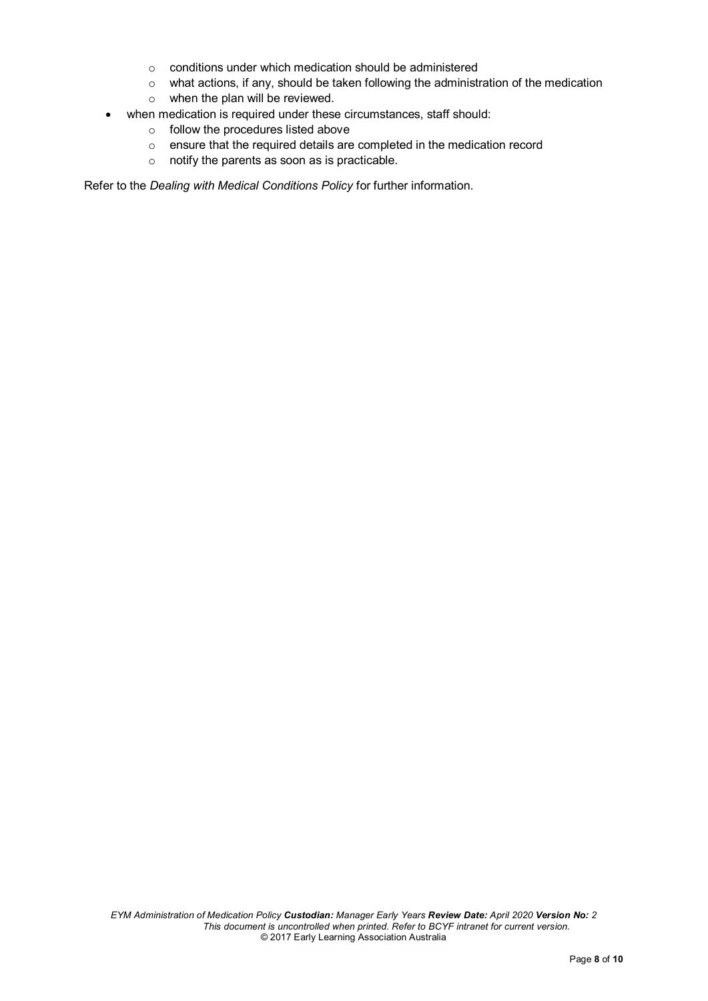- o conditions under which medication should be administered
- o what actions, if any, should be taken following the administration of the medication
- o when the plan will be reviewed.
- when medication is required under these circumstances, staff should:
	-
	- $\circ$  follow the procedures listed above<br> $\circ$  ensure that the required details are ensure that the required details are completed in the medication record
	- o notify the parents as soon as is practicable.

Refer to the *Dealing with Medical Conditions Policy* for further information.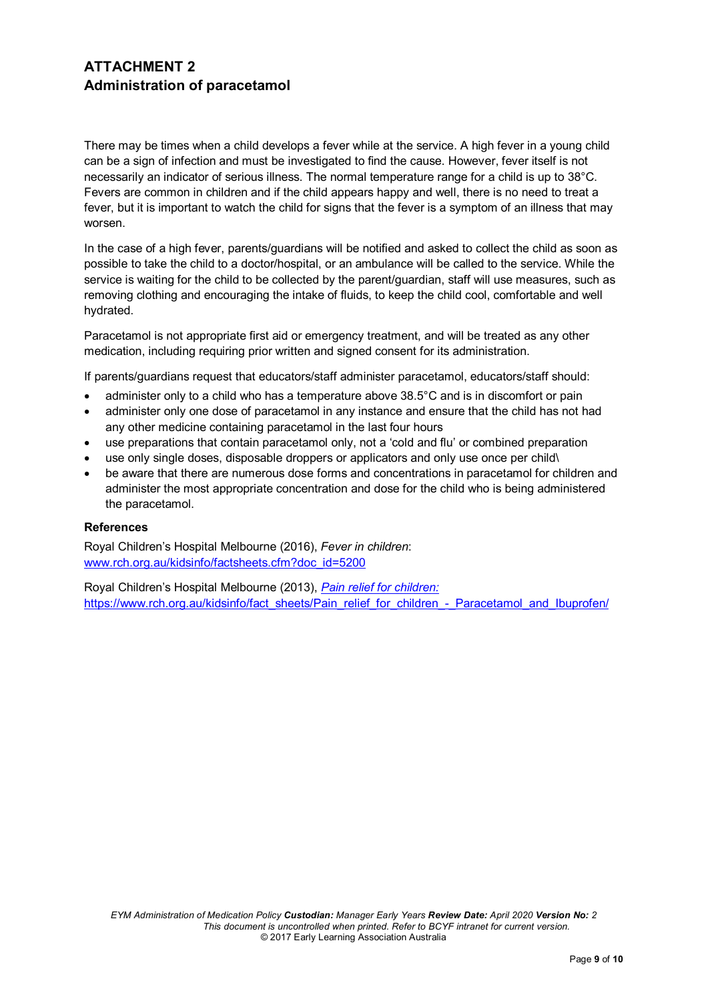## **ATTACHMENT 2 Administration of paracetamol**

There may be times when a child develops a fever while at the service. A high fever in a young child can be a sign of infection and must be investigated to find the cause. However, fever itself is not necessarily an indicator of serious illness. The normal temperature range for a child is up to 38°C. Fevers are common in children and if the child appears happy and well, there is no need to treat a fever, but it is important to watch the child for signs that the fever is a symptom of an illness that may worsen.

In the case of a high fever, parents/guardians will be notified and asked to collect the child as soon as possible to take the child to a doctor/hospital, or an ambulance will be called to the service. While the service is waiting for the child to be collected by the parent/guardian, staff will use measures, such as removing clothing and encouraging the intake of fluids, to keep the child cool, comfortable and well hydrated.

Paracetamol is not appropriate first aid or emergency treatment, and will be treated as any other medication, including requiring prior written and signed consent for its administration.

If parents/guardians request that educators/staff administer paracetamol, educators/staff should:

- administer only to a child who has a temperature above 38.5°C and is in discomfort or pain
- administer only one dose of paracetamol in any instance and ensure that the child has not had any other medicine containing paracetamol in the last four hours
- use preparations that contain paracetamol only, not a 'cold and flu' or combined preparation
- use only single doses, disposable droppers or applicators and only use once per child\
- be aware that there are numerous dose forms and concentrations in paracetamol for children and administer the most appropriate concentration and dose for the child who is being administered the paracetamol.

#### **References**

Royal Children's Hospital Melbourne (2016), *Fever in children*: [www.rch.org.au/kidsinfo/factsheets.cfm?doc\\_id=5200](http://www.rch.org.au/kidsinfo/factsheets.cfm?doc_id=5200)

Royal Children's Hospital Melbourne (2013), *Pain relief for children:*  [https://www.rch.org.au/kidsinfo/fact\\_sheets/Pain\\_relief\\_for\\_children\\_-\\_Paracetamol\\_and\\_Ibuprofen/](https://www.rch.org.au/kidsinfo/fact_sheets/Pain_relief_for_children_-_Paracetamol_and_Ibuprofen/)